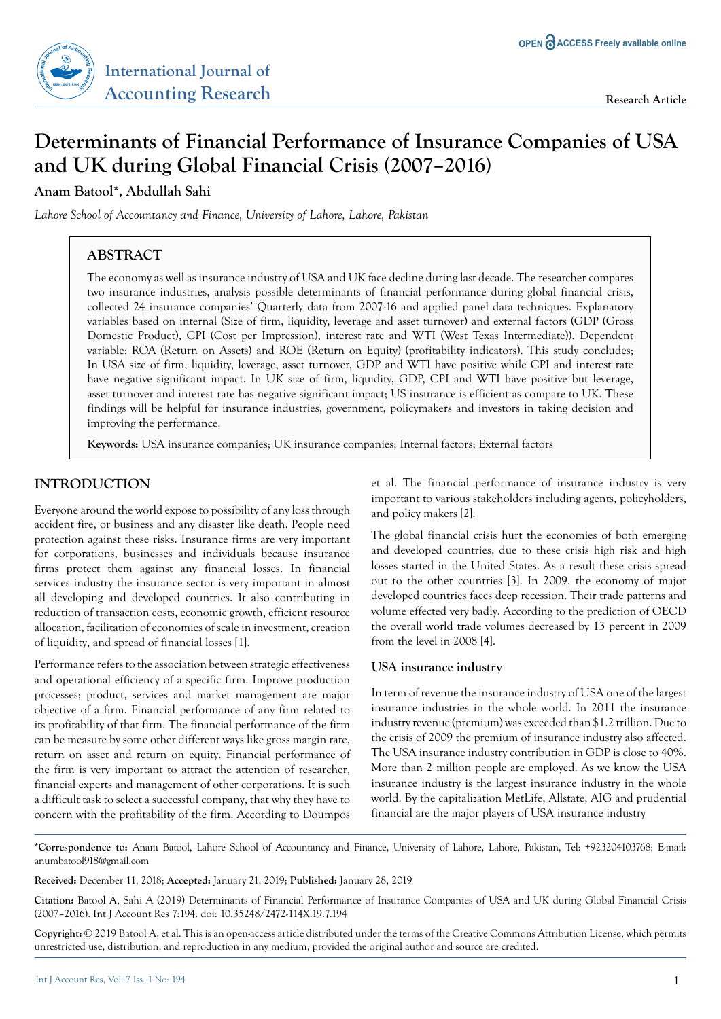# **Determinants of Financial Performance of Insurance Companies of USA and UK during Global Financial Crisis (2007–2016)**

**Anam Batool\*, Abdullah Sahi**

*Lahore School of Accountancy and Finance, University of Lahore, Lahore, Pakistan*

# **ABSTRACT**

The economy as well as insurance industry of USA and UK face decline during last decade. The researcher compares two insurance industries, analysis possible determinants of financial performance during global financial crisis, collected 24 insurance companies' Quarterly data from 2007-16 and applied panel data techniques. Explanatory variables based on internal (Size of firm, liquidity, leverage and asset turnover) and external factors (GDP (Gross Domestic Product), CPI (Cost per Impression), interest rate and WTI (West Texas Intermediate)). Dependent variable: ROA (Return on Assets) and ROE (Return on Equity) (profitability indicators). This study concludes; In USA size of firm, liquidity, leverage, asset turnover, GDP and WTI have positive while CPI and interest rate have negative significant impact. In UK size of firm, liquidity, GDP, CPI and WTI have positive but leverage, asset turnover and interest rate has negative significant impact; US insurance is efficient as compare to UK. These findings will be helpful for insurance industries, government, policymakers and investors in taking decision and improving the performance.

**Keywords:** USA insurance companies; UK insurance companies; Internal factors; External factors

# **INTRODUCTION**

Everyone around the world expose to possibility of any loss through accident fire, or business and any disaster like death. People need protection against these risks. Insurance firms are very important for corporations, businesses and individuals because insurance firms protect them against any financial losses. In financial services industry the insurance sector is very important in almost all developing and developed countries. It also contributing in reduction of transaction costs, economic growth, efficient resource allocation, facilitation of economies of scale in investment, creation of liquidity, and spread of financial losses [1].

Performance refers to the association between strategic effectiveness and operational efficiency of a specific firm. Improve production processes; product, services and market management are major objective of a firm. Financial performance of any firm related to its profitability of that firm. The financial performance of the firm can be measure by some other different ways like gross margin rate, return on asset and return on equity. Financial performance of the firm is very important to attract the attention of researcher, financial experts and management of other corporations. It is such a difficult task to select a successful company, that why they have to concern with the profitability of the firm. According to Doumpos

et al. The financial performance of insurance industry is very important to various stakeholders including agents, policyholders, and policy makers [2].

The global financial crisis hurt the economies of both emerging and developed countries, due to these crisis high risk and high losses started in the United States. As a result these crisis spread out to the other countries [3]. In 2009, the economy of major developed countries faces deep recession. Their trade patterns and volume effected very badly. According to the prediction of OECD the overall world trade volumes decreased by 13 percent in 2009 from the level in 2008 [4].

#### **USA insurance industry**

In term of revenue the insurance industry of USA one of the largest insurance industries in the whole world. In 2011 the insurance industry revenue (premium) was exceeded than \$1.2 trillion. Due to the crisis of 2009 the premium of insurance industry also affected. The USA insurance industry contribution in GDP is close to 40%. More than 2 million people are employed. As we know the USA insurance industry is the largest insurance industry in the whole world. By the capitalization MetLife, Allstate, AIG and prudential financial are the major players of USA insurance industry

**\*Correspondence to:** Anam Batool, Lahore School of Accountancy and Finance, University of Lahore, Lahore, Pakistan, Tel: +923204103768; E-mail: anumbatool918@gmail.com

**Received:** December 11, 2018; **Accepted:** January 21, 2019; **Published:** January 28, 2019

**Citation:** Batool A, Sahi A (2019) Determinants of Financial Performance of Insurance Companies of USA and UK during Global Financial Crisis (2007–2016). Int J Account Res 7:194. doi: 10.35248/2472-114X.19.7.194

**Copyright:** © 2019 Batool A, et al. This is an open-access article distributed under the terms of the Creative Commons Attribution License, which permits unrestricted use, distribution, and reproduction in any medium, provided the original author and source are credited.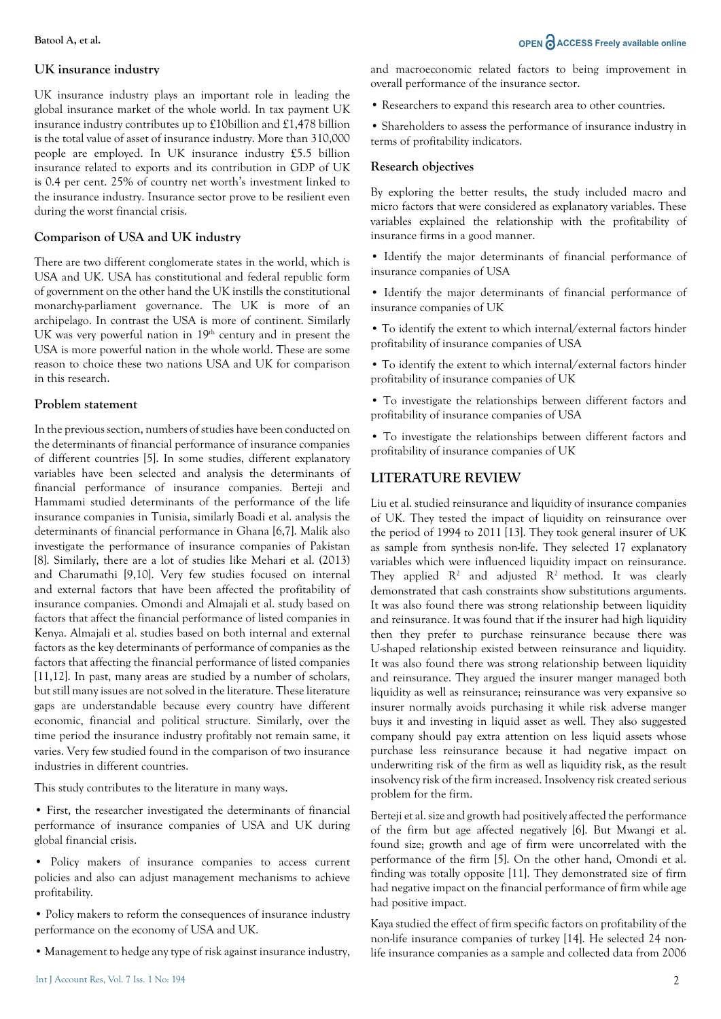#### **UK insurance industry**

UK insurance industry plays an important role in leading the global insurance market of the whole world. In tax payment UK insurance industry contributes up to £10billion and £1,478 billion is the total value of asset of insurance industry. More than 310,000 people are employed. In UK insurance industry £5.5 billion insurance related to exports and its contribution in GDP of UK is 0.4 per cent. 25% of country net worth's investment linked to the insurance industry. Insurance sector prove to be resilient even during the worst financial crisis.

#### **Comparison of USA and UK industry**

There are two different conglomerate states in the world, which is USA and UK. USA has constitutional and federal republic form of government on the other hand the UK instills the constitutional monarchy-parliament governance. The UK is more of an archipelago. In contrast the USA is more of continent. Similarly UK was very powerful nation in  $19<sup>th</sup>$  century and in present the USA is more powerful nation in the whole world. These are some reason to choice these two nations USA and UK for comparison in this research.

#### **Problem statement**

In the previous section, numbers of studies have been conducted on the determinants of financial performance of insurance companies of different countries [5]. In some studies, different explanatory variables have been selected and analysis the determinants of financial performance of insurance companies. Berteji and Hammami studied determinants of the performance of the life insurance companies in Tunisia, similarly Boadi et al. analysis the determinants of financial performance in Ghana [6,7]. Malik also investigate the performance of insurance companies of Pakistan [8]. Similarly, there are a lot of studies like Mehari et al. (2013) and Charumathi [9,10]. Very few studies focused on internal and external factors that have been affected the profitability of insurance companies. Omondi and Almajali et al. study based on factors that affect the financial performance of listed companies in Kenya. Almajali et al. studies based on both internal and external factors as the key determinants of performance of companies as the factors that affecting the financial performance of listed companies [11,12]. In past, many areas are studied by a number of scholars, but still many issues are not solved in the literature. These literature gaps are understandable because every country have different economic, financial and political structure. Similarly, over the time period the insurance industry profitably not remain same, it varies. Very few studied found in the comparison of two insurance industries in different countries.

This study contributes to the literature in many ways.

• First, the researcher investigated the determinants of financial performance of insurance companies of USA and UK during global financial crisis.

- Policy makers of insurance companies to access current policies and also can adjust management mechanisms to achieve profitability.
- Policy makers to reform the consequences of insurance industry performance on the economy of USA and UK.
- Management to hedge any type of risk against insurance industry,

### **Batool A, et al. OPEN**  $\partial$  **ACCESS** Freely available online

and macroeconomic related factors to being improvement in overall performance of the insurance sector.

• Researchers to expand this research area to other countries.

• Shareholders to assess the performance of insurance industry in terms of profitability indicators.

### **Research objectives**

By exploring the better results, the study included macro and micro factors that were considered as explanatory variables. These variables explained the relationship with the profitability of insurance firms in a good manner.

- Identify the major determinants of financial performance of insurance companies of USA
- Identify the major determinants of financial performance of insurance companies of UK
- To identify the extent to which internal/external factors hinder profitability of insurance companies of USA
- To identify the extent to which internal/external factors hinder profitability of insurance companies of UK
- To investigate the relationships between different factors and profitability of insurance companies of USA

• To investigate the relationships between different factors and profitability of insurance companies of UK

# **LITERATURE REVIEW**

Liu et al. studied reinsurance and liquidity of insurance companies of UK. They tested the impact of liquidity on reinsurance over the period of 1994 to 2011 [13]. They took general insurer of UK as sample from synthesis non-life. They selected 17 explanatory variables which were influenced liquidity impact on reinsurance. They applied  $\mathbb{R}^2$  and adjusted  $\mathbb{R}^2$  method. It was clearly demonstrated that cash constraints show substitutions arguments. It was also found there was strong relationship between liquidity and reinsurance. It was found that if the insurer had high liquidity then they prefer to purchase reinsurance because there was U-shaped relationship existed between reinsurance and liquidity. It was also found there was strong relationship between liquidity and reinsurance. They argued the insurer manger managed both liquidity as well as reinsurance; reinsurance was very expansive so insurer normally avoids purchasing it while risk adverse manger buys it and investing in liquid asset as well. They also suggested company should pay extra attention on less liquid assets whose purchase less reinsurance because it had negative impact on underwriting risk of the firm as well as liquidity risk, as the result insolvency risk of the firm increased. Insolvency risk created serious problem for the firm.

Berteji et al. size and growth had positively affected the performance of the firm but age affected negatively [6]. But Mwangi et al. found size; growth and age of firm were uncorrelated with the performance of the firm [5]. On the other hand, Omondi et al. finding was totally opposite [11]. They demonstrated size of firm had negative impact on the financial performance of firm while age had positive impact.

Kaya studied the effect of firm specific factors on profitability of the non-life insurance companies of turkey [14]. He selected 24 nonlife insurance companies as a sample and collected data from 2006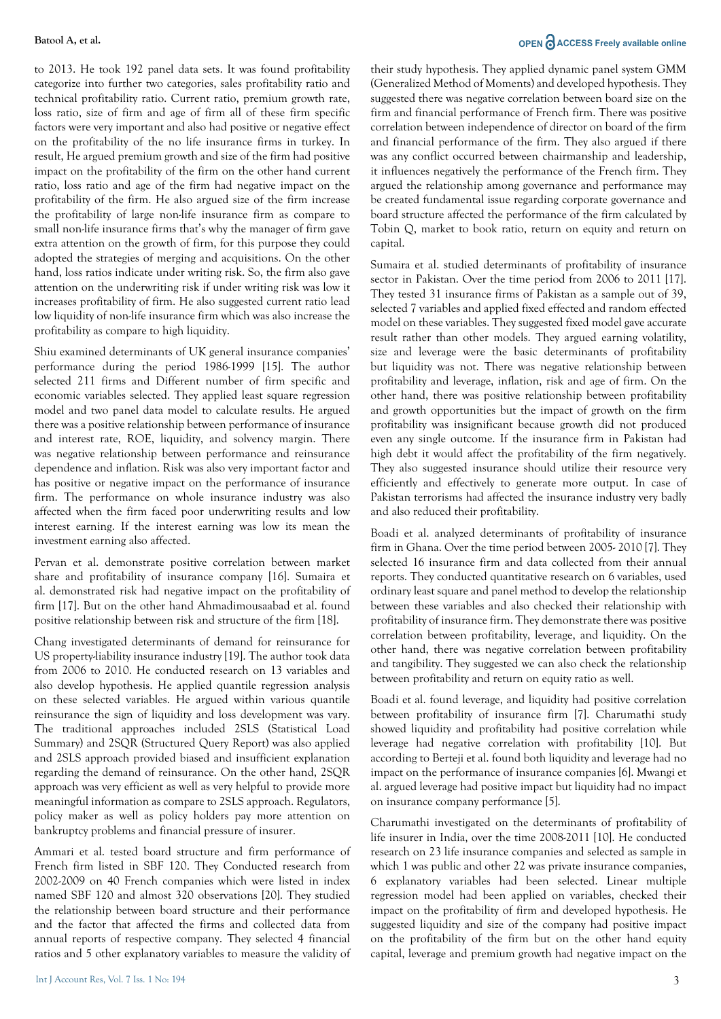to 2013. He took 192 panel data sets. It was found profitability categorize into further two categories, sales profitability ratio and technical profitability ratio. Current ratio, premium growth rate, loss ratio, size of firm and age of firm all of these firm specific factors were very important and also had positive or negative effect on the profitability of the no life insurance firms in turkey. In result, He argued premium growth and size of the firm had positive impact on the profitability of the firm on the other hand current ratio, loss ratio and age of the firm had negative impact on the profitability of the firm. He also argued size of the firm increase the profitability of large non-life insurance firm as compare to small non-life insurance firms that's why the manager of firm gave extra attention on the growth of firm, for this purpose they could adopted the strategies of merging and acquisitions. On the other hand, loss ratios indicate under writing risk. So, the firm also gave attention on the underwriting risk if under writing risk was low it increases profitability of firm. He also suggested current ratio lead low liquidity of non-life insurance firm which was also increase the profitability as compare to high liquidity.

Shiu examined determinants of UK general insurance companies' performance during the period 1986-1999 [15]. The author selected 211 firms and Different number of firm specific and economic variables selected. They applied least square regression model and two panel data model to calculate results. He argued there was a positive relationship between performance of insurance and interest rate, ROE, liquidity, and solvency margin. There was negative relationship between performance and reinsurance dependence and inflation. Risk was also very important factor and has positive or negative impact on the performance of insurance firm. The performance on whole insurance industry was also affected when the firm faced poor underwriting results and low interest earning. If the interest earning was low its mean the investment earning also affected.

Pervan et al. demonstrate positive correlation between market share and profitability of insurance company [16]. Sumaira et al. demonstrated risk had negative impact on the profitability of firm [17]. But on the other hand Ahmadimousaabad et al. found positive relationship between risk and structure of the firm [18].

Chang investigated determinants of demand for reinsurance for US property-liability insurance industry [19]. The author took data from 2006 to 2010. He conducted research on 13 variables and also develop hypothesis. He applied quantile regression analysis on these selected variables. He argued within various quantile reinsurance the sign of liquidity and loss development was vary. The traditional approaches included 2SLS (Statistical Load Summary) and 2SQR (Structured Query Report) was also applied and 2SLS approach provided biased and insufficient explanation regarding the demand of reinsurance. On the other hand, 2SQR approach was very efficient as well as very helpful to provide more meaningful information as compare to 2SLS approach. Regulators, policy maker as well as policy holders pay more attention on bankruptcy problems and financial pressure of insurer.

Ammari et al. tested board structure and firm performance of French firm listed in SBF 120. They Conducted research from 2002-2009 on 40 French companies which were listed in index named SBF 120 and almost 320 observations [20]. They studied the relationship between board structure and their performance and the factor that affected the firms and collected data from annual reports of respective company. They selected 4 financial ratios and 5 other explanatory variables to measure the validity of

#### **Batool A, et al. OPEN ACCESS Freely available online**

their study hypothesis. They applied dynamic panel system GMM (Generalized Method of Moments) and developed hypothesis. They suggested there was negative correlation between board size on the firm and financial performance of French firm. There was positive correlation between independence of director on board of the firm and financial performance of the firm. They also argued if there was any conflict occurred between chairmanship and leadership, it influences negatively the performance of the French firm. They argued the relationship among governance and performance may be created fundamental issue regarding corporate governance and board structure affected the performance of the firm calculated by Tobin Q, market to book ratio, return on equity and return on capital.

Sumaira et al. studied determinants of profitability of insurance sector in Pakistan. Over the time period from 2006 to 2011 [17]. They tested 31 insurance firms of Pakistan as a sample out of 39, selected 7 variables and applied fixed effected and random effected model on these variables. They suggested fixed model gave accurate result rather than other models. They argued earning volatility, size and leverage were the basic determinants of profitability but liquidity was not. There was negative relationship between profitability and leverage, inflation, risk and age of firm. On the other hand, there was positive relationship between profitability and growth opportunities but the impact of growth on the firm profitability was insignificant because growth did not produced even any single outcome. If the insurance firm in Pakistan had high debt it would affect the profitability of the firm negatively. They also suggested insurance should utilize their resource very efficiently and effectively to generate more output. In case of Pakistan terrorisms had affected the insurance industry very badly and also reduced their profitability.

Boadi et al. analyzed determinants of profitability of insurance firm in Ghana. Over the time period between 2005- 2010 [7]. They selected 16 insurance firm and data collected from their annual reports. They conducted quantitative research on 6 variables, used ordinary least square and panel method to develop the relationship between these variables and also checked their relationship with profitability of insurance firm. They demonstrate there was positive correlation between profitability, leverage, and liquidity. On the other hand, there was negative correlation between profitability and tangibility. They suggested we can also check the relationship between profitability and return on equity ratio as well.

Boadi et al. found leverage, and liquidity had positive correlation between profitability of insurance firm [7]. Charumathi study showed liquidity and profitability had positive correlation while leverage had negative correlation with profitability [10]. But according to Berteji et al. found both liquidity and leverage had no impact on the performance of insurance companies [6]. Mwangi et al. argued leverage had positive impact but liquidity had no impact on insurance company performance [5].

Charumathi investigated on the determinants of profitability of life insurer in India, over the time 2008-2011 [10]. He conducted research on 23 life insurance companies and selected as sample in which 1 was public and other 22 was private insurance companies, 6 explanatory variables had been selected. Linear multiple regression model had been applied on variables, checked their impact on the profitability of firm and developed hypothesis. He suggested liquidity and size of the company had positive impact on the profitability of the firm but on the other hand equity capital, leverage and premium growth had negative impact on the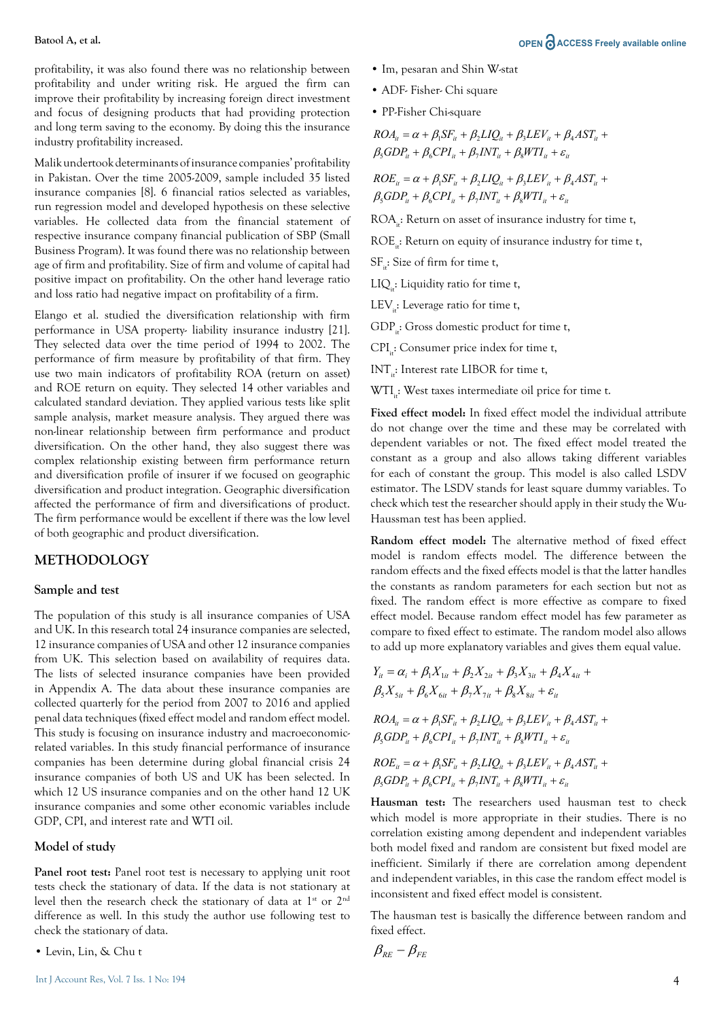profitability, it was also found there was no relationship between profitability and under writing risk. He argued the firm can improve their profitability by increasing foreign direct investment and focus of designing products that had providing protection and long term saving to the economy. By doing this the insurance industry profitability increased.

Malik undertook determinants of insurance companies' profitability in Pakistan. Over the time 2005-2009, sample included 35 listed insurance companies [8]. 6 financial ratios selected as variables, run regression model and developed hypothesis on these selective variables. He collected data from the financial statement of respective insurance company financial publication of SBP (Small Business Program). It was found there was no relationship between age of firm and profitability. Size of firm and volume of capital had positive impact on profitability. On the other hand leverage ratio and loss ratio had negative impact on profitability of a firm.

Elango et al. studied the diversification relationship with firm performance in USA property- liability insurance industry [21]. They selected data over the time period of 1994 to 2002. The performance of firm measure by profitability of that firm. They use two main indicators of profitability ROA (return on asset) and ROE return on equity. They selected 14 other variables and calculated standard deviation. They applied various tests like split sample analysis, market measure analysis. They argued there was non-linear relationship between firm performance and product diversification. On the other hand, they also suggest there was complex relationship existing between firm performance return and diversification profile of insurer if we focused on geographic diversification and product integration. Geographic diversification affected the performance of firm and diversifications of product. The firm performance would be excellent if there was the low level of both geographic and product diversification.

#### **METHODOLOGY**

#### **Sample and test**

The population of this study is all insurance companies of USA and UK. In this research total 24 insurance companies are selected, 12 insurance companies of USA and other 12 insurance companies from UK. This selection based on availability of requires data. The lists of selected insurance companies have been provided in Appendix A. The data about these insurance companies are collected quarterly for the period from 2007 to 2016 and applied penal data techniques (fixed effect model and random effect model. This study is focusing on insurance industry and macroeconomicrelated variables. In this study financial performance of insurance companies has been determine during global financial crisis 24 insurance companies of both US and UK has been selected. In which 12 US insurance companies and on the other hand 12 UK insurance companies and some other economic variables include GDP, CPI, and interest rate and WTI oil.

#### **Model of study**

Panel root test: Panel root test is necessary to applying unit root tests check the stationary of data. If the data is not stationary at level then the research check the stationary of data at 1<sup>st</sup> or 2<sup>nd</sup> difference as well. In this study the author use following test to check the stationary of data.

• Levin, Lin, & Chu t

- Im, pesaran and Shin W-stat
- ADF- Fisher- Chi square
- PP-Fisher Chi-square

 $ROA_{ii} = \alpha + \beta_1 SF_{ii} + \beta_2 LIQ_{ii} + \beta_3 LEV_{ii} + \beta_4 AST_{ii} +$  $\beta_5 GDP_{it} + \beta_6 CPI_{it} + \beta_7 INT_{it} + \beta_8 WTI_{it} + \varepsilon_{it}$ 

 $ROE_{it} = \alpha + \beta_1 SF_{it} + \beta_2 LIQ_{it} + \beta_3 LEV_{it} + \beta_4 AST_{it} +$  $\beta_5 GDP_i + \beta_6 CPI_i + \beta_7 INT_i + \beta_8 WTI_i + \varepsilon_i$ 

ROA<sub>:</sub>: Return on asset of insurance industry for time t,

 $ROE_{i}:$  Return on equity of insurance industry for time t,

SF<sub>it</sub>: Size of firm for time t,

 $LIQ$ : Liquidity ratio for time t,

LEV $\therefore$ : Leverage ratio for time t,

GDP<sub>:</sub>: Gross domestic product for time t,

 $CPI_{\cdot}:$  Consumer price index for time t,

INT<sub>i</sub>: Interest rate LIBOR for time t,

WTI<sub>ii</sub>: West taxes intermediate oil price for time t.

**Fixed effect model:** In fixed effect model the individual attribute do not change over the time and these may be correlated with dependent variables or not. The fixed effect model treated the constant as a group and also allows taking different variables for each of constant the group. This model is also called LSDV estimator. The LSDV stands for least square dummy variables. To check which test the researcher should apply in their study the Wu-Haussman test has been applied.

**Random effect model:** The alternative method of fixed effect model is random effects model. The difference between the random effects and the fixed effects model is that the latter handles the constants as random parameters for each section but not as fixed. The random effect is more effective as compare to fixed effect model. Because random effect model has few parameter as compare to fixed effect to estimate. The random model also allows to add up more explanatory variables and gives them equal value.

$$
Y_{it} = \alpha_i + \beta_1 X_{1it} + \beta_2 X_{2it} + \beta_3 X_{3it} + \beta_4 X_{4it} + \n\beta_5 X_{5it} + \beta_6 X_{6it} + \beta_7 X_{7it} + \beta_8 X_{8it} + \varepsilon_{it}
$$

 $ROA_{it} = \alpha + \beta_1 SF_{it} + \beta_2 L IQ_{it} + \beta_3 LEV_{it} + \beta_4 AST_{it} +$  $\beta_5 GDP_{ii} + \beta_6 CPI_{ii} + \beta_7 INT_{ii} + \beta_8 WTI_{ii} + \varepsilon_{ii}$ 

 $ROE_{it} = \alpha + \beta_1 SF_{it} + \beta_2 LIQ_{it} + \beta_3 LEV_{it} + \beta_4 AST_{it} +$  $\beta_5 GDP_i + \beta_6 CPI_i + \beta_7 INT_i + \beta_8 WTI_i + \varepsilon_i$ 

**Hausman test:** The researchers used hausman test to check which model is more appropriate in their studies. There is no correlation existing among dependent and independent variables both model fixed and random are consistent but fixed model are inefficient. Similarly if there are correlation among dependent and independent variables, in this case the random effect model is inconsistent and fixed effect model is consistent.

The hausman test is basically the difference between random and fixed effect.

$$
\beta_{\scriptscriptstyle{RE}} - \beta_{\scriptscriptstyle{FE}}
$$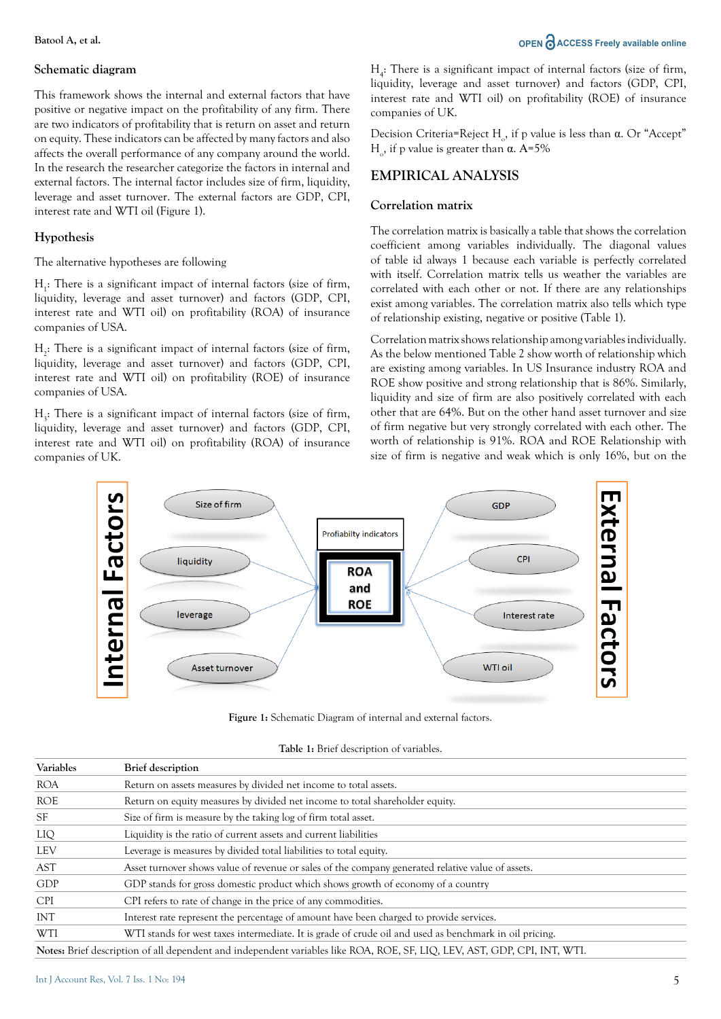#### **Schematic diagram**

This framework shows the internal and external factors that have positive or negative impact on the profitability of any firm. There are two indicators of profitability that is return on asset and return on equity. These indicators can be affected by many factors and also affects the overall performance of any company around the world. In the research the researcher categorize the factors in internal and external factors. The internal factor includes size of firm, liquidity, leverage and asset turnover. The external factors are GDP, CPI, interest rate and WTI oil (Figure 1).

#### **Hypothesis**

#### The alternative hypotheses are following

 $H<sub>1</sub>$ : There is a significant impact of internal factors (size of firm, liquidity, leverage and asset turnover) and factors (GDP, CPI, interest rate and WTI oil) on profitability (ROA) of insurance companies of USA.

 $H_2$ : There is a significant impact of internal factors (size of firm, liquidity, leverage and asset turnover) and factors (GDP, CPI, interest rate and WTI oil) on profitability (ROE) of insurance companies of USA.

 $H_3$ : There is a significant impact of internal factors (size of firm, liquidity, leverage and asset turnover) and factors (GDP, CPI, interest rate and WTI oil) on profitability (ROA) of insurance companies of UK.

 $H_4$ : There is a significant impact of internal factors (size of firm, liquidity, leverage and asset turnover) and factors (GDP, CPI, interest rate and WTI oil) on profitability (ROE) of insurance companies of UK.

Decision Criteria=Reject H<sub>0</sub>, if p value is less than  $\alpha$ . Or "Accept" H<sub>o</sub>, if p value is greater than  $\alpha$ . A=5%

#### **EMPIRICAL ANALYSIS**

#### **Correlation matrix**

The correlation matrix is basically a table that shows the correlation coefficient among variables individually. The diagonal values of table id always 1 because each variable is perfectly correlated with itself. Correlation matrix tells us weather the variables are correlated with each other or not. If there are any relationships exist among variables. The correlation matrix also tells which type of relationship existing, negative or positive (Table 1).

Correlation matrix shows relationship among variables individually. As the below mentioned Table 2 show worth of relationship which are existing among variables. In US Insurance industry ROA and ROE show positive and strong relationship that is 86%. Similarly, liquidity and size of firm are also positively correlated with each other that are 64%. But on the other hand asset turnover and size of firm negative but very strongly correlated with each other. The worth of relationship is 91%. ROA and ROE Relationship with size of firm is negative and weak which is only 16%, but on the



**Figure 1:** Schematic Diagram of internal and external factors.

|  |  |  | Table 1: Brief description of variables. |
|--|--|--|------------------------------------------|
|--|--|--|------------------------------------------|

| Variables  | <b>Brief</b> description                                                                                                  |
|------------|---------------------------------------------------------------------------------------------------------------------------|
| <b>ROA</b> | Return on assets measures by divided net income to total assets.                                                          |
| <b>ROE</b> | Return on equity measures by divided net income to total shareholder equity.                                              |
| <b>SF</b>  | Size of firm is measure by the taking log of firm total asset.                                                            |
| LIQ        | Liquidity is the ratio of current assets and current liabilities                                                          |
| LEV        | Leverage is measures by divided total liabilities to total equity.                                                        |
| AST        | Asset turnover shows value of revenue or sales of the company generated relative value of assets.                         |
| GDP        | GDP stands for gross domestic product which shows growth of economy of a country                                          |
| <b>CPI</b> | CPI refers to rate of change in the price of any commodities.                                                             |
| INT        | Interest rate represent the percentage of amount have been charged to provide services.                                   |
| WTI        | WTI stands for west taxes intermediate. It is grade of crude oil and used as benchmark in oil pricing.                    |
|            | Notes: Brief description of all dependent and independent variables like ROA, ROE, SF, LIQ, LEV, AST, GDP, CPI, INT, WTI. |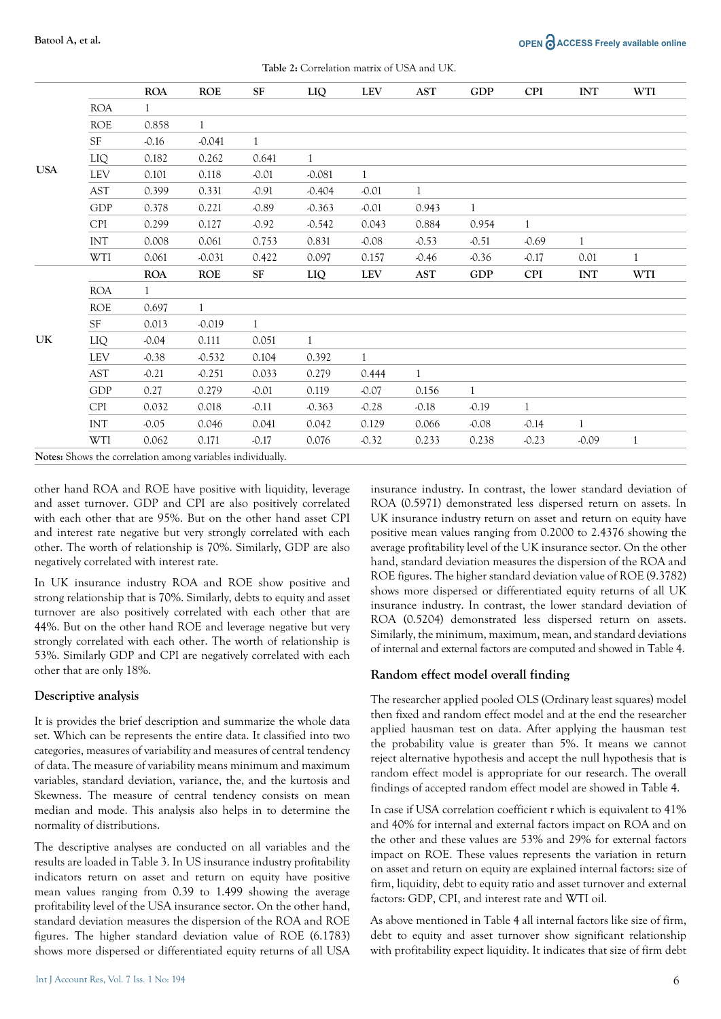|            |            | <b>ROA</b>   | <b>ROE</b>   | ${\rm SF}$   | LIQ          | <b>LEV</b>   | AST                  | ${\rm GDP}$  | <b>CPI</b>   | $\ensuremath{\text{INT}}$ | WTI          |
|------------|------------|--------------|--------------|--------------|--------------|--------------|----------------------|--------------|--------------|---------------------------|--------------|
|            | <b>ROA</b> | $\mathbf{1}$ |              |              |              |              |                      |              |              |                           |              |
|            | <b>ROE</b> | 0.858        | $\mathbf{1}$ |              |              |              |                      |              |              |                           |              |
|            | SF         | $-0.16$      | $-0.041$     | $\mathbf{1}$ |              |              |                      |              |              |                           |              |
|            | LIQ        | 0.182        | 0.262        | 0.641        | 1            |              |                      |              |              |                           |              |
| <b>USA</b> | LEV        | 0.101        | 0.118        | $-0.01$      | $-0.081$     | $\mathbf{1}$ |                      |              |              |                           |              |
|            | AST        | 0.399        | 0.331        | $-0.91$      | $-0.404$     | $-0.01$      | $\mathbf{1}$         |              |              |                           |              |
|            | <b>GDP</b> | 0.378        | 0.221        | $-0.89$      | $-0.363$     | $-0.01$      | 0.943                | $\mathbf{1}$ |              |                           |              |
|            | <b>CPI</b> | 0.299        | 0.127        | $-0.92$      | $-0.542$     | 0.043        | 0.884                | 0.954        | 1            |                           |              |
|            | INT        | 0.008        | 0.061        | 0.753        | 0.831        | $-0.08$      | $-0.53$              | $-0.51$      | $-0.69$      | $\mathbf{1}$              |              |
|            | WTI        | 0.061        | $-0.031$     | 0.422        | 0.097        | 0.157        | $-0.46$              | $-0.36$      | $-0.17$      | 0.01                      | $\mathbf{1}$ |
|            |            | <b>ROA</b>   | <b>ROE</b>   | SF           | LIQ          | LEV          | $\operatorname{AST}$ | ${\rm GDP}$  | CPI          | INT                       | WTI          |
|            | <b>ROA</b> | 1            |              |              |              |              |                      |              |              |                           |              |
|            | ROE        | 0.697        | $\mathbf{1}$ |              |              |              |                      |              |              |                           |              |
|            | <b>SF</b>  | 0.013        | $-0.019$     | $\mathbf{1}$ |              |              |                      |              |              |                           |              |
| UK         | LIQ        | $-0.04$      | 0.111        | 0.051        | $\mathbf{1}$ |              |                      |              |              |                           |              |
|            | LEV        | $-0.38$      | $-0.532$     | 0.104        | 0.392        | $\mathbf{1}$ |                      |              |              |                           |              |
|            | <b>AST</b> | $-0.21$      | $-0.251$     | 0.033        | 0.279        | 0.444        | $\mathbf{1}$         |              |              |                           |              |
|            | <b>GDP</b> | 0.27         | 0.279        | $-0.01$      | 0.119        | $-0.07$      | 0.156                | $\mathbf{1}$ |              |                           |              |
|            | <b>CPI</b> | 0.032        | 0.018        | $-0.11$      | $-0.363$     | $-0.28$      | $-0.18$              | $-0.19$      | $\mathbf{1}$ |                           |              |
|            | INT        | $-0.05$      | 0.046        | 0.041        | 0.042        | 0.129        | 0.066                | $-0.08$      | $-0.14$      | $\mathbf{1}$              |              |
|            | WTI        | 0.062        | 0.171        | $-0.17$      | 0.076        | $-0.32$      | 0.233                | 0.238        | $-0.23$      | $-0.09$                   |              |

**Table 2:** Correlation matrix of USA and UK.

**Notes:** Shows the correlation among variables individually.

other hand ROA and ROE have positive with liquidity, leverage and asset turnover. GDP and CPI are also positively correlated with each other that are 95%. But on the other hand asset CPI and interest rate negative but very strongly correlated with each other. The worth of relationship is 70%. Similarly, GDP are also negatively correlated with interest rate.

In UK insurance industry ROA and ROE show positive and strong relationship that is 70%. Similarly, debts to equity and asset turnover are also positively correlated with each other that are 44%. But on the other hand ROE and leverage negative but very strongly correlated with each other. The worth of relationship is 53%. Similarly GDP and CPI are negatively correlated with each other that are only 18%.

#### **Descriptive analysis**

It is provides the brief description and summarize the whole data set. Which can be represents the entire data. It classified into two categories, measures of variability and measures of central tendency of data. The measure of variability means minimum and maximum variables, standard deviation, variance, the, and the kurtosis and Skewness. The measure of central tendency consists on mean median and mode. This analysis also helps in to determine the normality of distributions.

The descriptive analyses are conducted on all variables and the results are loaded in Table 3. In US insurance industry profitability indicators return on asset and return on equity have positive mean values ranging from 0.39 to 1.499 showing the average profitability level of the USA insurance sector. On the other hand, standard deviation measures the dispersion of the ROA and ROE figures. The higher standard deviation value of ROE (6.1783) shows more dispersed or differentiated equity returns of all USA

insurance industry. In contrast, the lower standard deviation of ROA (0.5971) demonstrated less dispersed return on assets. In UK insurance industry return on asset and return on equity have positive mean values ranging from 0.2000 to 2.4376 showing the average profitability level of the UK insurance sector. On the other hand, standard deviation measures the dispersion of the ROA and ROE figures. The higher standard deviation value of ROE (9.3782) shows more dispersed or differentiated equity returns of all UK insurance industry. In contrast, the lower standard deviation of ROA (0.5204) demonstrated less dispersed return on assets. Similarly, the minimum, maximum, mean, and standard deviations of internal and external factors are computed and showed in Table 4.

#### **Random effect model overall finding**

The researcher applied pooled OLS (Ordinary least squares) model then fixed and random effect model and at the end the researcher applied hausman test on data. After applying the hausman test the probability value is greater than 5%. It means we cannot reject alternative hypothesis and accept the null hypothesis that is random effect model is appropriate for our research. The overall findings of accepted random effect model are showed in Table 4.

In case if USA correlation coefficient r which is equivalent to 41% and 40% for internal and external factors impact on ROA and on the other and these values are 53% and 29% for external factors impact on ROE. These values represents the variation in return on asset and return on equity are explained internal factors: size of firm, liquidity, debt to equity ratio and asset turnover and external factors: GDP, CPI, and interest rate and WTI oil.

As above mentioned in Table 4 all internal factors like size of firm, debt to equity and asset turnover show significant relationship with profitability expect liquidity. It indicates that size of firm debt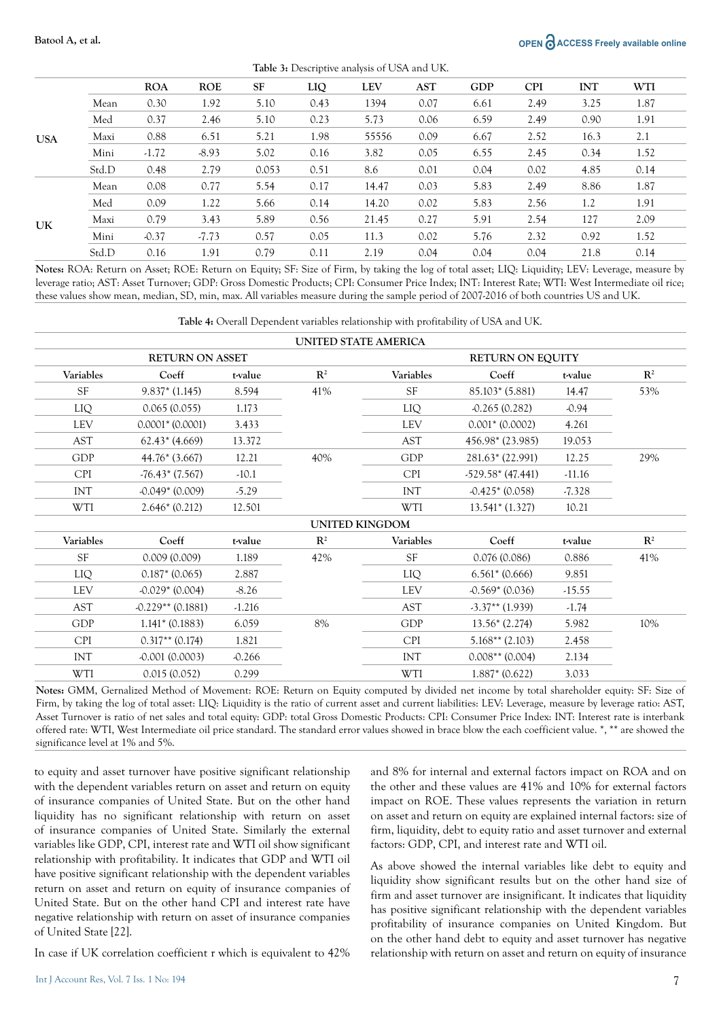#### **Batool A, et al. OPEN ACCESS Freely available online**

|            | <b>Lable 5:</b> Descriptive analysis of Obtaining OK. |            |            |           |      |            |      |            |            |            |      |
|------------|-------------------------------------------------------|------------|------------|-----------|------|------------|------|------------|------------|------------|------|
|            |                                                       | <b>ROA</b> | <b>ROE</b> | <b>SF</b> | LIQ  | <b>LEV</b> | AST  | <b>GDP</b> | <b>CPI</b> | <b>INT</b> | WTI  |
|            | Mean                                                  | 0.30       | 1.92       | 5.10      | 0.43 | 1394       | 0.07 | 6.61       | 2.49       | 3.25       | 1.87 |
|            | Med                                                   | 0.37       | 2.46       | 5.10      | 0.23 | 5.73       | 0.06 | 6.59       | 2.49       | 0.90       | 1.91 |
| <b>USA</b> | Maxi                                                  | 0.88       | 6.51       | 5.21      | 1.98 | 55556      | 0.09 | 6.67       | 2.52       | 16.3       | 2.1  |
|            | Mini                                                  | $-1.72$    | $-8.93$    | 5.02      | 0.16 | 3.82       | 0.05 | 6.55       | 2.45       | 0.34       | 1.52 |
|            | Std.D                                                 | 0.48       | 2.79       | 0.053     | 0.51 | 8.6        | 0.01 | 0.04       | 0.02       | 4.85       | 0.14 |
| UK         | Mean                                                  | 0.08       | 0.77       | 5.54      | 0.17 | 14.47      | 0.03 | 5.83       | 2.49       | 8.86       | 1.87 |
|            | Med                                                   | 0.09       | 1.22       | 5.66      | 0.14 | 14.20      | 0.02 | 5.83       | 2.56       | 1.2        | 1.91 |
|            | Maxi                                                  | 0.79       | 3.43       | 5.89      | 0.56 | 21.45      | 0.27 | 5.91       | 2.54       | 127        | 2.09 |
|            | Mini                                                  | $-0.37$    | $-7.73$    | 0.57      | 0.05 | 11.3       | 0.02 | 5.76       | 2.32       | 0.92       | 1.52 |
|            | Std.D                                                 | 0.16       | 1.91       | 0.79      | 0.11 | 2.19       | 0.04 | 0.04       | 0.04       | 21.8       | 0.14 |

**Table 3:** Descriptive analysis of USA and UK.

**Notes:** ROA: Return on Asset; ROE: Return on Equity; SF: Size of Firm, by taking the log of total asset; LIQ: Liquidity; LEV: Leverage, measure by leverage ratio; AST: Asset Turnover; GDP: Gross Domestic Products; CPI: Consumer Price Index; INT: Interest Rate; WTI: West Intermediate oil rice; these values show mean, median, SD, min, max. All variables measure during the sample period of 2007-2016 of both countries US and UK.

**Table 4:** Overall Dependent variables relationship with profitability of USA and UK.

|            | <b>RETURN ON ASSET</b> |          |                       | <b>RETURN ON EQUITY</b> |                    |          |                |  |
|------------|------------------------|----------|-----------------------|-------------------------|--------------------|----------|----------------|--|
| Variables  | Coeff                  | t-value  | $\mathbf{R}^2$        | Variables               | Coeff              | t-value  | $\mathbf{R}^2$ |  |
| <b>SF</b>  | $9.837*(1.145)$        | 8.594    | 41%                   | <b>SF</b>               | $85.103*(5.881)$   | 14.47    | 53%            |  |
| LIQ        | 0.065(0.055)           | 1.173    |                       | LIQ                     | $-0.265(0.282)$    | $-0.94$  |                |  |
| <b>LEV</b> | $0.0001*$ (0.0001)     | 3.433    |                       | <b>LEV</b>              | $0.001*$ (0.0002)  | 4.261    |                |  |
| <b>AST</b> | $62.43*(4.669)$        | 13.372   |                       | <b>AST</b>              | 456.98* (23.985)   | 19.053   |                |  |
| <b>GDP</b> | $44.76*(3.667)$        | 12.21    | 40%                   | <b>GDP</b>              | 281.63* (22.991)   | 12.25    | 29%            |  |
| <b>CPI</b> | $-76.43*(7.567)$       | $-10.1$  |                       | <b>CPI</b>              | $-529.58*(47.441)$ | $-11.16$ |                |  |
| <b>INT</b> | $-0.049*$ (0.009)      | $-5.29$  |                       | INT                     | $-0.425*(0.058)$   | $-7.328$ |                |  |
| WTI        | $2.646*(0.212)$        | 12.501   |                       | <b>WTI</b>              | $13.541*$ (1.327)  | 10.21    |                |  |
|            |                        |          | <b>UNITED KINGDOM</b> |                         |                    |          |                |  |
| Variables  | Coeff                  | t-value  | $\mathbf{R}^2$        | Variables               | Coeff              | t-value  | $\mathbf{R}^2$ |  |
| <b>SF</b>  | 0.009(0.009)           | 1.189    | 42%                   | <b>SF</b>               | 0.076(0.086)       | 0.886    | 41%            |  |
| LIQ        | $0.187*(0.065)$        | 2.887    |                       | LIQ                     | $6.561* (0.666)$   | 9.851    |                |  |
| <b>LEV</b> | $-0.029*(0.004)$       | $-8.26$  |                       | <b>LEV</b>              | $-0.569*$ (0.036)  | $-15.55$ |                |  |
| <b>AST</b> | $-0.229**$ (0.1881)    | $-1.216$ |                       | <b>AST</b>              | $-3.37**$ (1.939)  | $-1.74$  |                |  |
| <b>GDP</b> | $1.141*(0.1883)$       | 6.059    | 8%                    | <b>GDP</b>              | $13.56*(2.274)$    | 5.982    | 10%            |  |
| <b>CPI</b> | $0.317**$ (0.174)      | 1.821    |                       | <b>CPI</b>              | $5.168**$ (2.103)  | 2.458    |                |  |
| <b>INT</b> | $-0.001(0.0003)$       | $-0.266$ |                       | INT                     | $0.008**$ (0.004)  | 2.134    |                |  |
| WTI        | 0.015(0.052)           | 0.299    |                       | WTI                     | $1.887*$ (0.622)   | 3.033    |                |  |
|            |                        |          |                       |                         |                    |          |                |  |

**Notes:** GMM, Gernalized Method of Movement: ROE: Return on Equity computed by divided net income by total shareholder equity: SF: Size of Firm, by taking the log of total asset: LIQ: Liquidity is the ratio of current asset and current liabilities: LEV: Leverage, measure by leverage ratio: AST, Asset Turnover is ratio of net sales and total equity: GDP: total Gross Domestic Products: CPI: Consumer Price Index: INT: Interest rate is interbank offered rate: WTI, West Intermediate oil price standard. The standard error values showed in brace blow the each coefficient value. \*, \*\* are showed the significance level at 1% and 5%.

to equity and asset turnover have positive significant relationship with the dependent variables return on asset and return on equity of insurance companies of United State. But on the other hand liquidity has no significant relationship with return on asset of insurance companies of United State. Similarly the external variables like GDP, CPI, interest rate and WTI oil show significant relationship with profitability. It indicates that GDP and WTI oil have positive significant relationship with the dependent variables return on asset and return on equity of insurance companies of United State. But on the other hand CPI and interest rate have negative relationship with return on asset of insurance companies of United State [22].

In case if UK correlation coefficient r which is equivalent to 42%

and 8% for internal and external factors impact on ROA and on the other and these values are 41% and 10% for external factors impact on ROE. These values represents the variation in return on asset and return on equity are explained internal factors: size of firm, liquidity, debt to equity ratio and asset turnover and external factors: GDP, CPI, and interest rate and WTI oil.

As above showed the internal variables like debt to equity and liquidity show significant results but on the other hand size of firm and asset turnover are insignificant. It indicates that liquidity has positive significant relationship with the dependent variables profitability of insurance companies on United Kingdom. But on the other hand debt to equity and asset turnover has negative relationship with return on asset and return on equity of insurance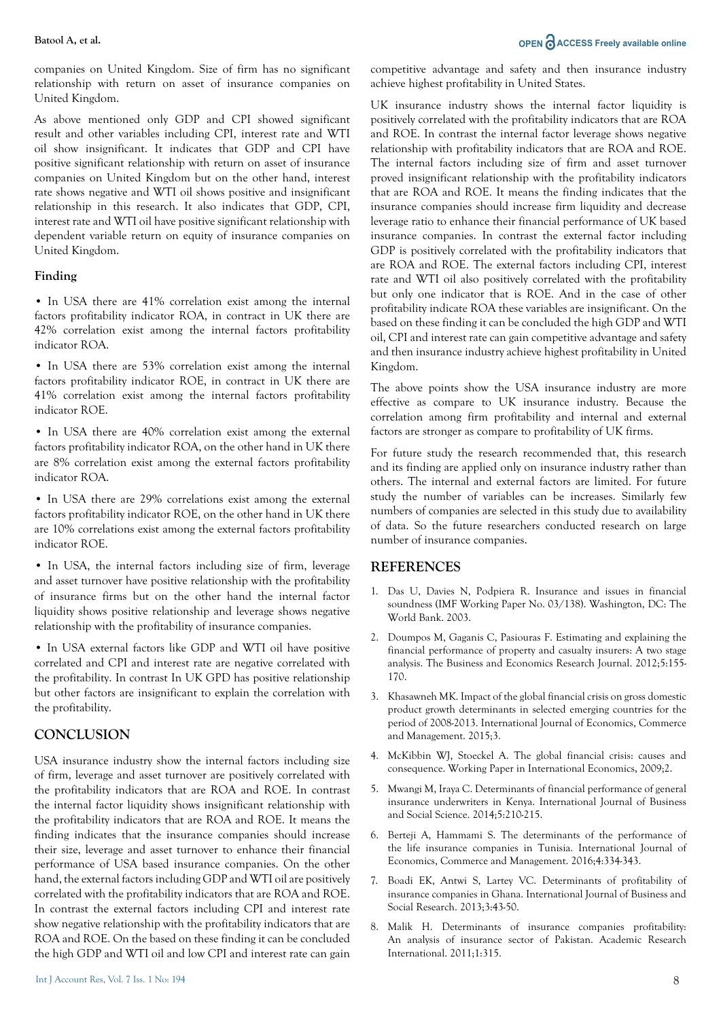#### **Batool A, et al. OPEN ACCESS Freely available online**

companies on United Kingdom. Size of firm has no significant relationship with return on asset of insurance companies on United Kingdom.

As above mentioned only GDP and CPI showed significant result and other variables including CPI, interest rate and WTI oil show insignificant. It indicates that GDP and CPI have positive significant relationship with return on asset of insurance companies on United Kingdom but on the other hand, interest rate shows negative and WTI oil shows positive and insignificant relationship in this research. It also indicates that GDP, CPI, interest rate and WTI oil have positive significant relationship with dependent variable return on equity of insurance companies on United Kingdom.

#### **Finding**

• In USA there are 41% correlation exist among the internal factors profitability indicator ROA, in contract in UK there are 42% correlation exist among the internal factors profitability indicator ROA.

• In USA there are 53% correlation exist among the internal factors profitability indicator ROE, in contract in UK there are 41% correlation exist among the internal factors profitability indicator ROE.

• In USA there are 40% correlation exist among the external factors profitability indicator ROA, on the other hand in UK there are 8% correlation exist among the external factors profitability indicator ROA.

• In USA there are 29% correlations exist among the external factors profitability indicator ROE, on the other hand in UK there are 10% correlations exist among the external factors profitability indicator ROE.

• In USA, the internal factors including size of firm, leverage and asset turnover have positive relationship with the profitability of insurance firms but on the other hand the internal factor liquidity shows positive relationship and leverage shows negative relationship with the profitability of insurance companies.

• In USA external factors like GDP and WTI oil have positive correlated and CPI and interest rate are negative correlated with the profitability. In contrast In UK GPD has positive relationship but other factors are insignificant to explain the correlation with the profitability.

### **CONCLUSION**

USA insurance industry show the internal factors including size of firm, leverage and asset turnover are positively correlated with the profitability indicators that are ROA and ROE. In contrast the internal factor liquidity shows insignificant relationship with the profitability indicators that are ROA and ROE. It means the finding indicates that the insurance companies should increase their size, leverage and asset turnover to enhance their financial performance of USA based insurance companies. On the other hand, the external factors including GDP and WTI oil are positively correlated with the profitability indicators that are ROA and ROE. In contrast the external factors including CPI and interest rate show negative relationship with the profitability indicators that are ROA and ROE. On the based on these finding it can be concluded the high GDP and WTI oil and low CPI and interest rate can gain

competitive advantage and safety and then insurance industry achieve highest profitability in United States.

UK insurance industry shows the internal factor liquidity is positively correlated with the profitability indicators that are ROA and ROE. In contrast the internal factor leverage shows negative relationship with profitability indicators that are ROA and ROE. The internal factors including size of firm and asset turnover proved insignificant relationship with the profitability indicators that are ROA and ROE. It means the finding indicates that the insurance companies should increase firm liquidity and decrease leverage ratio to enhance their financial performance of UK based insurance companies. In contrast the external factor including GDP is positively correlated with the profitability indicators that are ROA and ROE. The external factors including CPI, interest rate and WTI oil also positively correlated with the profitability but only one indicator that is ROE. And in the case of other profitability indicate ROA these variables are insignificant. On the based on these finding it can be concluded the high GDP and WTI oil, CPI and interest rate can gain competitive advantage and safety and then insurance industry achieve highest profitability in United Kingdom.

The above points show the USA insurance industry are more effective as compare to UK insurance industry. Because the correlation among firm profitability and internal and external factors are stronger as compare to profitability of UK firms.

For future study the research recommended that, this research and its finding are applied only on insurance industry rather than others. The internal and external factors are limited. For future study the number of variables can be increases. Similarly few numbers of companies are selected in this study due to availability of data. So the future researchers conducted research on large number of insurance companies.

#### **REFERENCES**

- 1. Das U, Davies N, Podpiera R. Insurance and issues in financial soundness (IMF Working Paper No. 03/138). Washington, DC: The World Bank. 2003.
- 2. Doumpos M, Gaganis C, Pasiouras F. Estimating and explaining the financial performance of property and casualty insurers: A two stage analysis. The Business and Economics Research Journal. 2012;5:155- 170.
- 3. Khasawneh MK. Impact of the global financial crisis on gross domestic product growth determinants in selected emerging countries for the period of 2008-2013. International Journal of Economics, Commerce and Management. 2015;3.
- 4. McKibbin WJ, Stoeckel A. The global financial crisis: causes and consequence. Working Paper in International Economics, 2009;2.
- 5. Mwangi M, Iraya C. Determinants of financial performance of general insurance underwriters in Kenya. International Journal of Business and Social Science. 2014;5:210-215.
- 6. Berteji A, Hammami S. The determinants of the performance of the life insurance companies in Tunisia. International Journal of Economics, Commerce and Management. 2016;4:334-343.
- 7. Boadi EK, Antwi S, Lartey VC. Determinants of profitability of insurance companies in Ghana. International Journal of Business and Social Research. 2013;3:43-50.
- 8. Malik H. Determinants of insurance companies profitability: An analysis of insurance sector of Pakistan. Academic Research International. 2011;1:315.